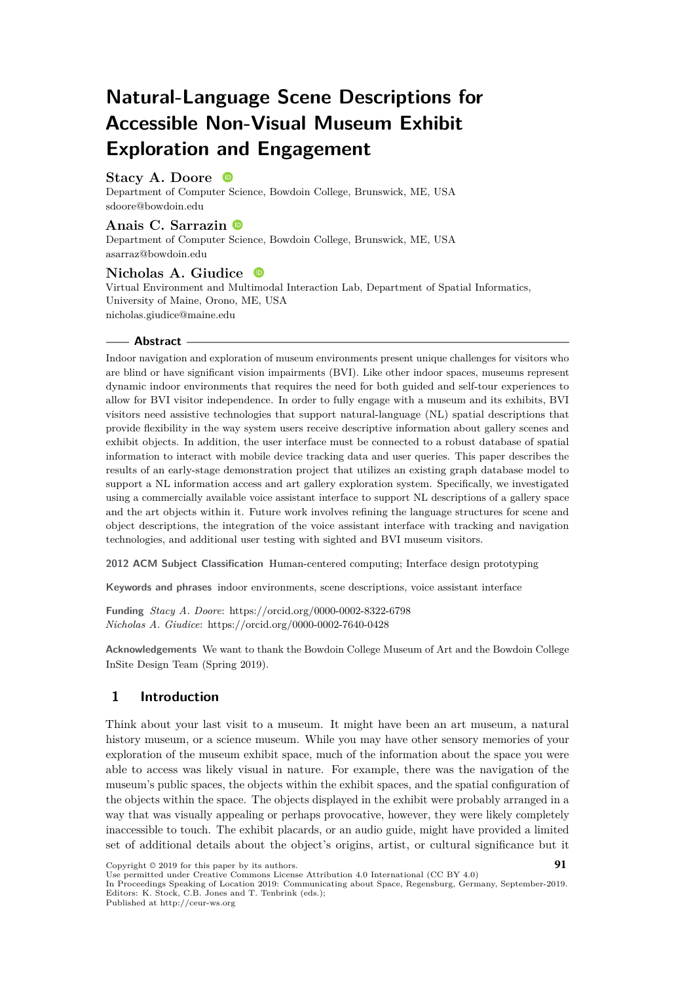# **Natural-Language Scene Descriptions for Accessible Non-Visual Museum Exhibit Exploration and Engagement**

#### **Stacy A. Doore**

Department of Computer Science, Bowdoin College, Brunswick, ME, USA [sdoore@bowdoin.edu](mailto:sdoore@bowdoin.edu)

#### **Anais C. Sarrazin**

Department of Computer Science, Bowdoin College, Brunswick, ME, USA [asarraz@bowdoin.edu](mailto:asarraz@bowdoin.edu)

#### **Nicholas A. Giudice** (iD)

Virtual Environment and Multimodal Interaction Lab, Department of Spatial Informatics, University of Maine, Orono, ME, USA [nicholas.giudice@maine.edu](mailto:nicholas.giudice@maine.edu)

#### **Abstract**

Indoor navigation and exploration of museum environments present unique challenges for visitors who are blind or have significant vision impairments (BVI). Like other indoor spaces, museums represent dynamic indoor environments that requires the need for both guided and self-tour experiences to allow for BVI visitor independence. In order to fully engage with a museum and its exhibits, BVI visitors need assistive technologies that support natural-language (NL) spatial descriptions that provide flexibility in the way system users receive descriptive information about gallery scenes and exhibit objects. In addition, the user interface must be connected to a robust database of spatial information to interact with mobile device tracking data and user queries. This paper describes the results of an early-stage demonstration project that utilizes an existing graph database model to support a NL information access and art gallery exploration system. Specifically, we investigated using a commercially available voice assistant interface to support NL descriptions of a gallery space and the art objects within it. Future work involves refining the language structures for scene and object descriptions, the integration of the voice assistant interface with tracking and navigation technologies, and additional user testing with sighted and BVI museum visitors.

**2012 ACM Subject Classification** Human-centered computing; Interface design prototyping

**Keywords and phrases** indoor environments, scene descriptions, voice assistant interface

**Funding** *Stacy A. Doore*: https://orcid.org/0000-0002-8322-6798 *Nicholas A. Giudice*: https://orcid.org/0000-0002-7640-0428

**Acknowledgements** We want to thank the Bowdoin College Museum of Art and the Bowdoin College InSite Design Team (Spring 2019).

## **1 Introduction**

Think about your last visit to a museum. It might have been an art museum, a natural history museum, or a science museum. While you may have other sensory memories of your exploration of the museum exhibit space, much of the information about the space you were able to access was likely visual in nature. For example, there was the navigation of the museum's public spaces, the objects within the exhibit spaces, and the spatial configuration of the objects within the space. The objects displayed in the exhibit were probably arranged in a way that was visually appealing or perhaps provocative, however, they were likely completely inaccessible to touch. The exhibit placards, or an audio guide, might have provided a limited set of additional details about the object's origins, artist, or cultural significance but it

Copyright © 2019 for this paper by its authors. Use permitted under Creative Commons License Attribution 4.0 International (CC BY 4.0) **91**

In Proceedings Speaking of Location 2019: Communicating about Space, Regensburg, Germany, September-2019. Editors: K. Stock, C.B. Jones and T. Tenbrink (eds.);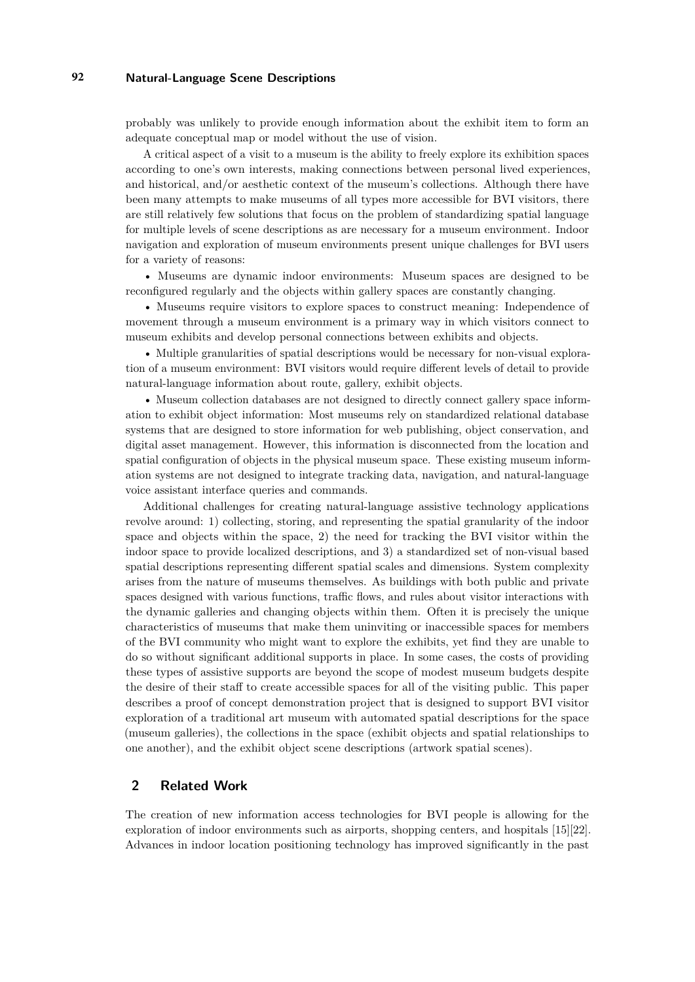probably was unlikely to provide enough information about the exhibit item to form an adequate conceptual map or model without the use of vision.

A critical aspect of a visit to a museum is the ability to freely explore its exhibition spaces according to one's own interests, making connections between personal lived experiences, and historical, and/or aesthetic context of the museum's collections. Although there have been many attempts to make museums of all types more accessible for BVI visitors, there are still relatively few solutions that focus on the problem of standardizing spatial language for multiple levels of scene descriptions as are necessary for a museum environment. Indoor navigation and exploration of museum environments present unique challenges for BVI users for a variety of reasons:

• Museums are dynamic indoor environments: Museum spaces are designed to be reconfigured regularly and the objects within gallery spaces are constantly changing.

• Museums require visitors to explore spaces to construct meaning: Independence of movement through a museum environment is a primary way in which visitors connect to museum exhibits and develop personal connections between exhibits and objects.

• Multiple granularities of spatial descriptions would be necessary for non-visual exploration of a museum environment: BVI visitors would require different levels of detail to provide natural-language information about route, gallery, exhibit objects.

• Museum collection databases are not designed to directly connect gallery space information to exhibit object information: Most museums rely on standardized relational database systems that are designed to store information for web publishing, object conservation, and digital asset management. However, this information is disconnected from the location and spatial configuration of objects in the physical museum space. These existing museum information systems are not designed to integrate tracking data, navigation, and natural-language voice assistant interface queries and commands.

Additional challenges for creating natural-language assistive technology applications revolve around: 1) collecting, storing, and representing the spatial granularity of the indoor space and objects within the space, 2) the need for tracking the BVI visitor within the indoor space to provide localized descriptions, and 3) a standardized set of non-visual based spatial descriptions representing different spatial scales and dimensions. System complexity arises from the nature of museums themselves. As buildings with both public and private spaces designed with various functions, traffic flows, and rules about visitor interactions with the dynamic galleries and changing objects within them. Often it is precisely the unique characteristics of museums that make them uninviting or inaccessible spaces for members of the BVI community who might want to explore the exhibits, yet find they are unable to do so without significant additional supports in place. In some cases, the costs of providing these types of assistive supports are beyond the scope of modest museum budgets despite the desire of their staff to create accessible spaces for all of the visiting public. This paper describes a proof of concept demonstration project that is designed to support BVI visitor exploration of a traditional art museum with automated spatial descriptions for the space (museum galleries), the collections in the space (exhibit objects and spatial relationships to one another), and the exhibit object scene descriptions (artwork spatial scenes).

#### **2 Related Work**

The creation of new information access technologies for BVI people is allowing for the exploration of indoor environments such as airports, shopping centers, and hospitals [\[15\]](#page-8-0)[\[22\]](#page-8-1). Advances in indoor location positioning technology has improved significantly in the past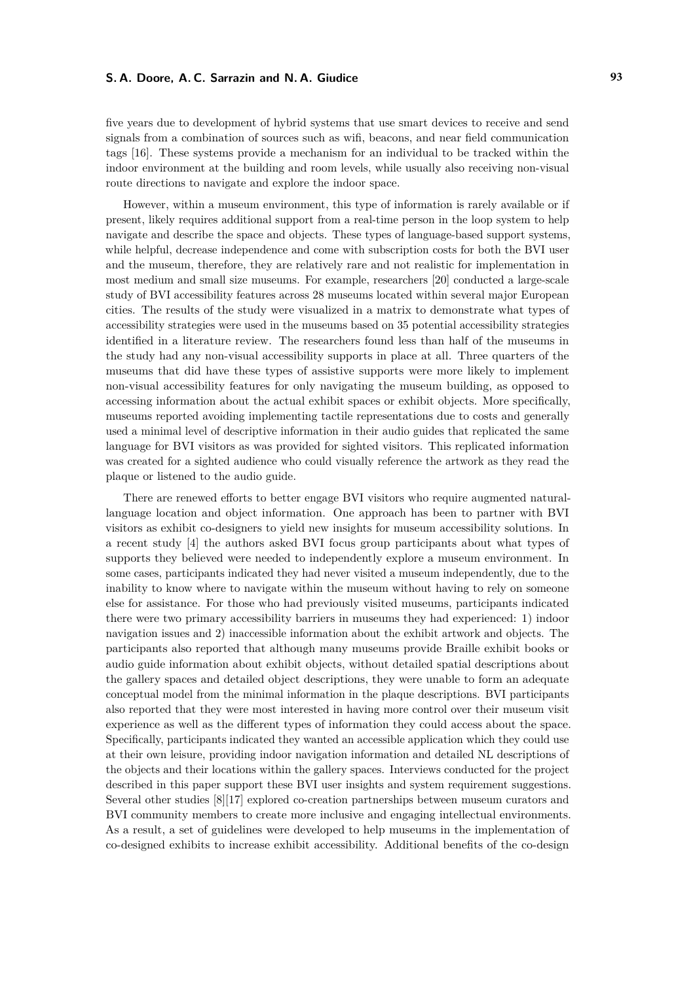five years due to development of hybrid systems that use smart devices to receive and send signals from a combination of sources such as wifi, beacons, and near field communication tags [\[16\]](#page-8-2). These systems provide a mechanism for an individual to be tracked within the indoor environment at the building and room levels, while usually also receiving non-visual route directions to navigate and explore the indoor space.

However, within a museum environment, this type of information is rarely available or if present, likely requires additional support from a real-time person in the loop system to help navigate and describe the space and objects. These types of language-based support systems, while helpful, decrease independence and come with subscription costs for both the BVI user and the museum, therefore, they are relatively rare and not realistic for implementation in most medium and small size museums. For example, researchers [\[20\]](#page-8-3) conducted a large-scale study of BVI accessibility features across 28 museums located within several major European cities. The results of the study were visualized in a matrix to demonstrate what types of accessibility strategies were used in the museums based on 35 potential accessibility strategies identified in a literature review. The researchers found less than half of the museums in the study had any non-visual accessibility supports in place at all. Three quarters of the museums that did have these types of assistive supports were more likely to implement non-visual accessibility features for only navigating the museum building, as opposed to accessing information about the actual exhibit spaces or exhibit objects. More specifically, museums reported avoiding implementing tactile representations due to costs and generally used a minimal level of descriptive information in their audio guides that replicated the same language for BVI visitors as was provided for sighted visitors. This replicated information was created for a sighted audience who could visually reference the artwork as they read the plaque or listened to the audio guide.

There are renewed efforts to better engage BVI visitors who require augmented naturallanguage location and object information. One approach has been to partner with BVI visitors as exhibit co-designers to yield new insights for museum accessibility solutions. In a recent study [\[4\]](#page-8-4) the authors asked BVI focus group participants about what types of supports they believed were needed to independently explore a museum environment. In some cases, participants indicated they had never visited a museum independently, due to the inability to know where to navigate within the museum without having to rely on someone else for assistance. For those who had previously visited museums, participants indicated there were two primary accessibility barriers in museums they had experienced: 1) indoor navigation issues and 2) inaccessible information about the exhibit artwork and objects. The participants also reported that although many museums provide Braille exhibit books or audio guide information about exhibit objects, without detailed spatial descriptions about the gallery spaces and detailed object descriptions, they were unable to form an adequate conceptual model from the minimal information in the plaque descriptions. BVI participants also reported that they were most interested in having more control over their museum visit experience as well as the different types of information they could access about the space. Specifically, participants indicated they wanted an accessible application which they could use at their own leisure, providing indoor navigation information and detailed NL descriptions of the objects and their locations within the gallery spaces. Interviews conducted for the project described in this paper support these BVI user insights and system requirement suggestions. Several other studies [\[8\]](#page-8-5)[\[17\]](#page-8-6) explored co-creation partnerships between museum curators and BVI community members to create more inclusive and engaging intellectual environments. As a result, a set of guidelines were developed to help museums in the implementation of co-designed exhibits to increase exhibit accessibility. Additional benefits of the co-design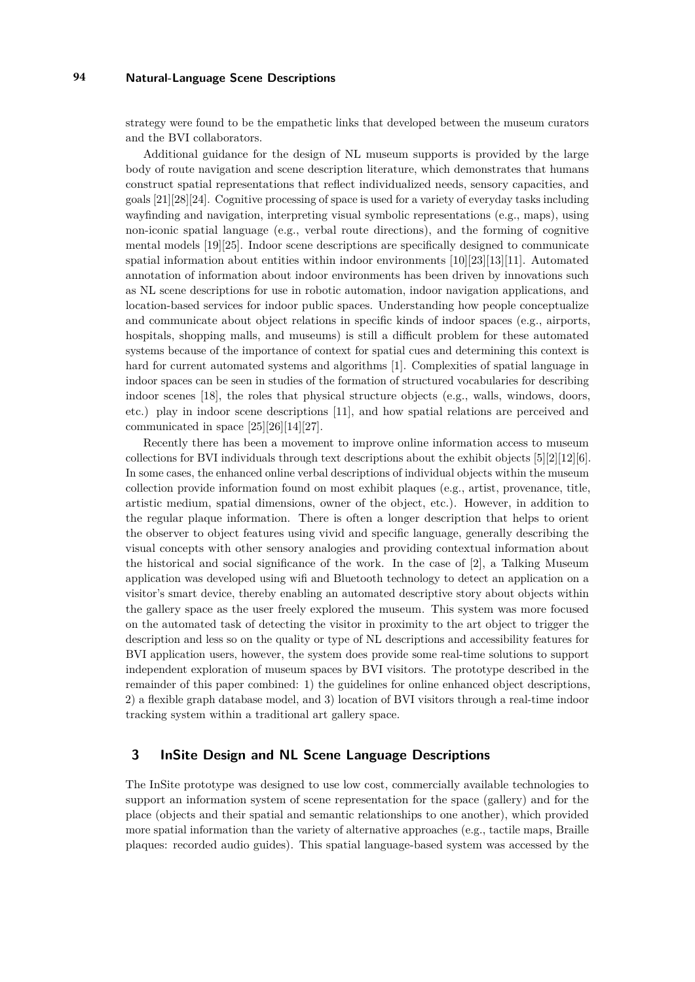strategy were found to be the empathetic links that developed between the museum curators and the BVI collaborators.

Additional guidance for the design of NL museum supports is provided by the large body of route navigation and scene description literature, which demonstrates that humans construct spatial representations that reflect individualized needs, sensory capacities, and goals [\[21\]](#page-8-7)[\[28\]](#page-9-0)[\[24\]](#page-9-1). Cognitive processing of space is used for a variety of everyday tasks including wayfinding and navigation, interpreting visual symbolic representations (e.g., maps), using non-iconic spatial language (e.g., verbal route directions), and the forming of cognitive mental models [\[19\]](#page-8-8)[\[25\]](#page-9-2). Indoor scene descriptions are specifically designed to communicate spatial information about entities within indoor environments [\[10\]](#page-8-9)[\[23\]](#page-9-3)[\[13\]](#page-8-10)[\[11\]](#page-8-11). Automated annotation of information about indoor environments has been driven by innovations such as NL scene descriptions for use in robotic automation, indoor navigation applications, and location-based services for indoor public spaces. Understanding how people conceptualize and communicate about object relations in specific kinds of indoor spaces (e.g., airports, hospitals, shopping malls, and museums) is still a difficult problem for these automated systems because of the importance of context for spatial cues and determining this context is hard for current automated systems and algorithms [\[1\]](#page-7-0). Complexities of spatial language in indoor spaces can be seen in studies of the formation of structured vocabularies for describing indoor scenes [\[18\]](#page-8-12), the roles that physical structure objects (e.g., walls, windows, doors, etc.) play in indoor scene descriptions [\[11\]](#page-8-11), and how spatial relations are perceived and communicated in space [\[25\]](#page-9-2)[\[26\]](#page-9-4)[\[14\]](#page-8-13)[\[27\]](#page-9-5).

Recently there has been a movement to improve online information access to museum collections for BVI individuals through text descriptions about the exhibit objects [\[5\]](#page-8-14)[\[2\]](#page-7-1)[\[12\]](#page-8-15)[\[6\]](#page-8-16). In some cases, the enhanced online verbal descriptions of individual objects within the museum collection provide information found on most exhibit plaques (e.g., artist, provenance, title, artistic medium, spatial dimensions, owner of the object, etc.). However, in addition to the regular plaque information. There is often a longer description that helps to orient the observer to object features using vivid and specific language, generally describing the visual concepts with other sensory analogies and providing contextual information about the historical and social significance of the work. In the case of [\[2\]](#page-7-1), a Talking Museum application was developed using wifi and Bluetooth technology to detect an application on a visitor's smart device, thereby enabling an automated descriptive story about objects within the gallery space as the user freely explored the museum. This system was more focused on the automated task of detecting the visitor in proximity to the art object to trigger the description and less so on the quality or type of NL descriptions and accessibility features for BVI application users, however, the system does provide some real-time solutions to support independent exploration of museum spaces by BVI visitors. The prototype described in the remainder of this paper combined: 1) the guidelines for online enhanced object descriptions, 2) a flexible graph database model, and 3) location of BVI visitors through a real-time indoor tracking system within a traditional art gallery space.

#### **3 InSite Design and NL Scene Language Descriptions**

The InSite prototype was designed to use low cost, commercially available technologies to support an information system of scene representation for the space (gallery) and for the place (objects and their spatial and semantic relationships to one another), which provided more spatial information than the variety of alternative approaches (e.g., tactile maps, Braille plaques: recorded audio guides). This spatial language-based system was accessed by the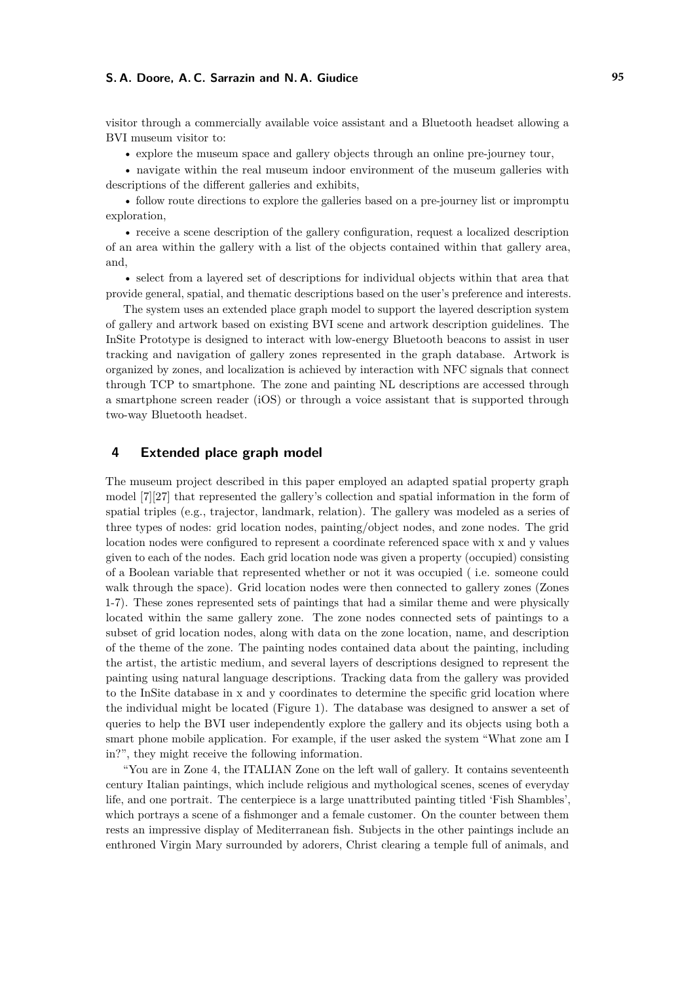visitor through a commercially available voice assistant and a Bluetooth headset allowing a BVI museum visitor to:

• explore the museum space and gallery objects through an online pre-journey tour,

• navigate within the real museum indoor environment of the museum galleries with descriptions of the different galleries and exhibits,

• follow route directions to explore the galleries based on a pre-journey list or impromptu exploration,

• receive a scene description of the gallery configuration, request a localized description of an area within the gallery with a list of the objects contained within that gallery area, and,

• select from a layered set of descriptions for individual objects within that area that provide general, spatial, and thematic descriptions based on the user's preference and interests.

The system uses an extended place graph model to support the layered description system of gallery and artwork based on existing BVI scene and artwork description guidelines. The InSite Prototype is designed to interact with low-energy Bluetooth beacons to assist in user tracking and navigation of gallery zones represented in the graph database. Artwork is organized by zones, and localization is achieved by interaction with NFC signals that connect through TCP to smartphone. The zone and painting NL descriptions are accessed through a smartphone screen reader (iOS) or through a voice assistant that is supported through two-way Bluetooth headset.

#### **4 Extended place graph model**

The museum project described in this paper employed an adapted spatial property graph model [\[7\]](#page-8-17)[\[27\]](#page-9-5) that represented the gallery's collection and spatial information in the form of spatial triples (e.g., trajector, landmark, relation). The gallery was modeled as a series of three types of nodes: grid location nodes, painting/object nodes, and zone nodes. The grid location nodes were configured to represent a coordinate referenced space with x and y values given to each of the nodes. Each grid location node was given a property (occupied) consisting of a Boolean variable that represented whether or not it was occupied ( i.e. someone could walk through the space). Grid location nodes were then connected to gallery zones (Zones 1-7). These zones represented sets of paintings that had a similar theme and were physically located within the same gallery zone. The zone nodes connected sets of paintings to a subset of grid location nodes, along with data on the zone location, name, and description of the theme of the zone. The painting nodes contained data about the painting, including the artist, the artistic medium, and several layers of descriptions designed to represent the painting using natural language descriptions. Tracking data from the gallery was provided to the InSite database in x and y coordinates to determine the specific grid location where the individual might be located (Figure 1). The database was designed to answer a set of queries to help the BVI user independently explore the gallery and its objects using both a smart phone mobile application. For example, if the user asked the system "What zone am I in?", they might receive the following information.

"You are in Zone 4, the ITALIAN Zone on the left wall of gallery. It contains seventeenth century Italian paintings, which include religious and mythological scenes, scenes of everyday life, and one portrait. The centerpiece is a large unattributed painting titled 'Fish Shambles', which portrays a scene of a fishmonger and a female customer. On the counter between them rests an impressive display of Mediterranean fish. Subjects in the other paintings include an enthroned Virgin Mary surrounded by adorers, Christ clearing a temple full of animals, and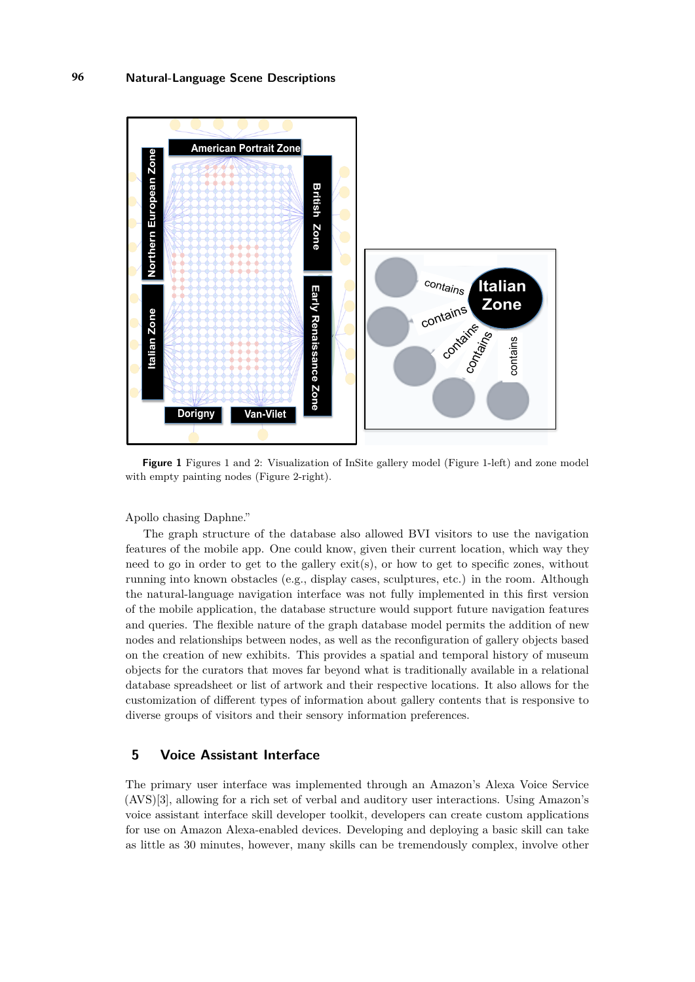

**Figure 1** Figures 1 and 2: Visualization of InSite gallery model (Figure 1-left) and zone model with empty painting nodes (Figure 2-right).

Apollo chasing Daphne."

The graph structure of the database also allowed BVI visitors to use the navigation features of the mobile app. One could know, given their current location, which way they need to go in order to get to the gallery exit(s), or how to get to specific zones, without running into known obstacles (e.g., display cases, sculptures, etc.) in the room. Although the natural-language navigation interface was not fully implemented in this first version of the mobile application, the database structure would support future navigation features and queries. The flexible nature of the graph database model permits the addition of new nodes and relationships between nodes, as well as the reconfiguration of gallery objects based on the creation of new exhibits. This provides a spatial and temporal history of museum objects for the curators that moves far beyond what is traditionally available in a relational database spreadsheet or list of artwork and their respective locations. It also allows for the customization of different types of information about gallery contents that is responsive to diverse groups of visitors and their sensory information preferences.

#### **5 Voice Assistant Interface**

The primary user interface was implemented through an Amazon's Alexa Voice Service (AVS)[\[3\]](#page-8-18), allowing for a rich set of verbal and auditory user interactions. Using Amazon's voice assistant interface skill developer toolkit, developers can create custom applications for use on Amazon Alexa-enabled devices. Developing and deploying a basic skill can take as little as 30 minutes, however, many skills can be tremendously complex, involve other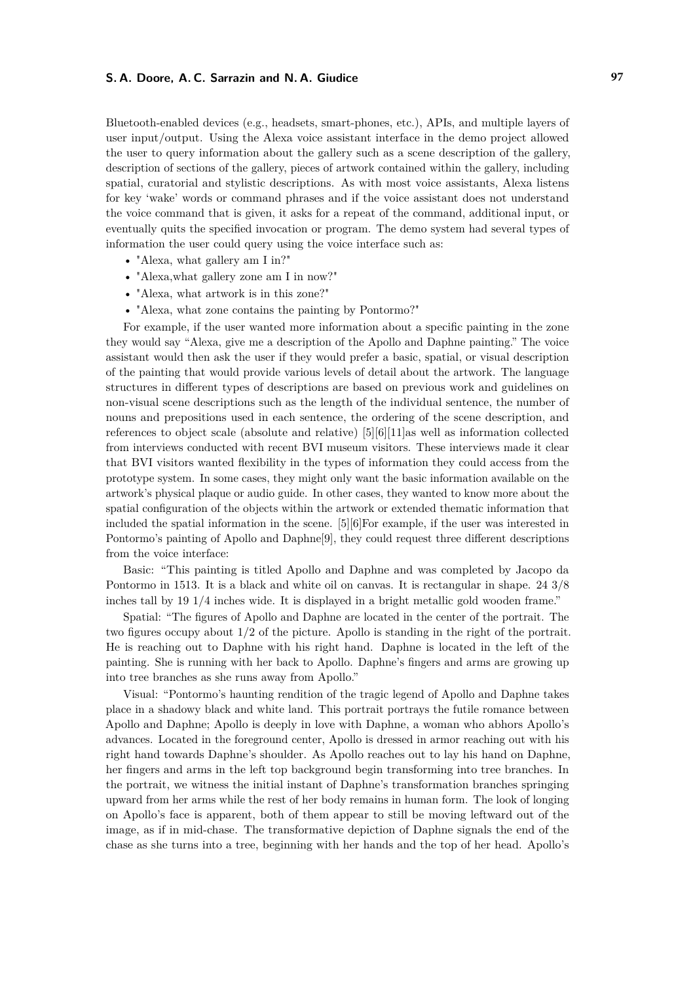Bluetooth-enabled devices (e.g., headsets, smart-phones, etc.), APIs, and multiple layers of user input/output. Using the Alexa voice assistant interface in the demo project allowed the user to query information about the gallery such as a scene description of the gallery, description of sections of the gallery, pieces of artwork contained within the gallery, including spatial, curatorial and stylistic descriptions. As with most voice assistants, Alexa listens for key 'wake' words or command phrases and if the voice assistant does not understand the voice command that is given, it asks for a repeat of the command, additional input, or eventually quits the specified invocation or program. The demo system had several types of information the user could query using the voice interface such as:

- "Alexa, what gallery am I in?"
- "Alexa,what gallery zone am I in now?"
- "Alexa, what artwork is in this zone?"
- "Alexa, what zone contains the painting by Pontormo?"

For example, if the user wanted more information about a specific painting in the zone they would say "Alexa, give me a description of the Apollo and Daphne painting." The voice assistant would then ask the user if they would prefer a basic, spatial, or visual description of the painting that would provide various levels of detail about the artwork. The language structures in different types of descriptions are based on previous work and guidelines on non-visual scene descriptions such as the length of the individual sentence, the number of nouns and prepositions used in each sentence, the ordering of the scene description, and references to object scale (absolute and relative) [\[5\]](#page-8-14)[\[6\]](#page-8-16)[\[11\]](#page-8-11)as well as information collected from interviews conducted with recent BVI museum visitors. These interviews made it clear that BVI visitors wanted flexibility in the types of information they could access from the prototype system. In some cases, they might only want the basic information available on the artwork's physical plaque or audio guide. In other cases, they wanted to know more about the spatial configuration of the objects within the artwork or extended thematic information that included the spatial information in the scene. [\[5\]](#page-8-14)[\[6\]](#page-8-16)For example, if the user was interested in Pontormo's painting of Apollo and Daphne[\[9\]](#page-8-19), they could request three different descriptions from the voice interface:

Basic: "This painting is titled Apollo and Daphne and was completed by Jacopo da Pontormo in 1513. It is a black and white oil on canvas. It is rectangular in shape. 24 3/8 inches tall by 19 1/4 inches wide. It is displayed in a bright metallic gold wooden frame."

Spatial: "The figures of Apollo and Daphne are located in the center of the portrait. The two figures occupy about 1/2 of the picture. Apollo is standing in the right of the portrait. He is reaching out to Daphne with his right hand. Daphne is located in the left of the painting. She is running with her back to Apollo. Daphne's fingers and arms are growing up into tree branches as she runs away from Apollo."

Visual: "Pontormo's haunting rendition of the tragic legend of Apollo and Daphne takes place in a shadowy black and white land. This portrait portrays the futile romance between Apollo and Daphne; Apollo is deeply in love with Daphne, a woman who abhors Apollo's advances. Located in the foreground center, Apollo is dressed in armor reaching out with his right hand towards Daphne's shoulder. As Apollo reaches out to lay his hand on Daphne, her fingers and arms in the left top background begin transforming into tree branches. In the portrait, we witness the initial instant of Daphne's transformation branches springing upward from her arms while the rest of her body remains in human form. The look of longing on Apollo's face is apparent, both of them appear to still be moving leftward out of the image, as if in mid-chase. The transformative depiction of Daphne signals the end of the chase as she turns into a tree, beginning with her hands and the top of her head. Apollo's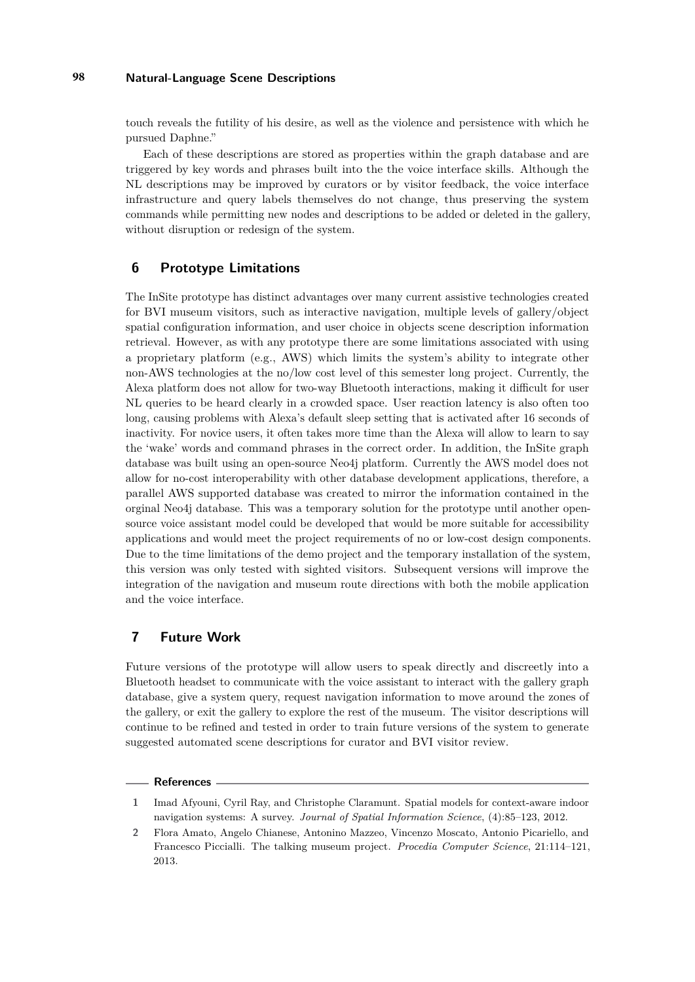touch reveals the futility of his desire, as well as the violence and persistence with which he pursued Daphne."

Each of these descriptions are stored as properties within the graph database and are triggered by key words and phrases built into the the voice interface skills. Although the NL descriptions may be improved by curators or by visitor feedback, the voice interface infrastructure and query labels themselves do not change, thus preserving the system commands while permitting new nodes and descriptions to be added or deleted in the gallery, without disruption or redesign of the system.

#### **6 Prototype Limitations**

The InSite prototype has distinct advantages over many current assistive technologies created for BVI museum visitors, such as interactive navigation, multiple levels of gallery/object spatial configuration information, and user choice in objects scene description information retrieval. However, as with any prototype there are some limitations associated with using a proprietary platform (e.g., AWS) which limits the system's ability to integrate other non-AWS technologies at the no/low cost level of this semester long project. Currently, the Alexa platform does not allow for two-way Bluetooth interactions, making it difficult for user NL queries to be heard clearly in a crowded space. User reaction latency is also often too long, causing problems with Alexa's default sleep setting that is activated after 16 seconds of inactivity. For novice users, it often takes more time than the Alexa will allow to learn to say the 'wake' words and command phrases in the correct order. In addition, the InSite graph database was built using an open-source Neo4j platform. Currently the AWS model does not allow for no-cost interoperability with other database development applications, therefore, a parallel AWS supported database was created to mirror the information contained in the orginal Neo4j database. This was a temporary solution for the prototype until another opensource voice assistant model could be developed that would be more suitable for accessibility applications and would meet the project requirements of no or low-cost design components. Due to the time limitations of the demo project and the temporary installation of the system, this version was only tested with sighted visitors. Subsequent versions will improve the integration of the navigation and museum route directions with both the mobile application and the voice interface.

#### **7 Future Work**

Future versions of the prototype will allow users to speak directly and discreetly into a Bluetooth headset to communicate with the voice assistant to interact with the gallery graph database, give a system query, request navigation information to move around the zones of the gallery, or exit the gallery to explore the rest of the museum. The visitor descriptions will continue to be refined and tested in order to train future versions of the system to generate suggested automated scene descriptions for curator and BVI visitor review.

#### **References**

<span id="page-7-0"></span>**<sup>1</sup>** Imad Afyouni, Cyril Ray, and Christophe Claramunt. Spatial models for context-aware indoor navigation systems: A survey. *Journal of Spatial Information Science*, (4):85–123, 2012.

<span id="page-7-1"></span>**<sup>2</sup>** Flora Amato, Angelo Chianese, Antonino Mazzeo, Vincenzo Moscato, Antonio Picariello, and Francesco Piccialli. The talking museum project. *Procedia Computer Science*, 21:114–121, 2013.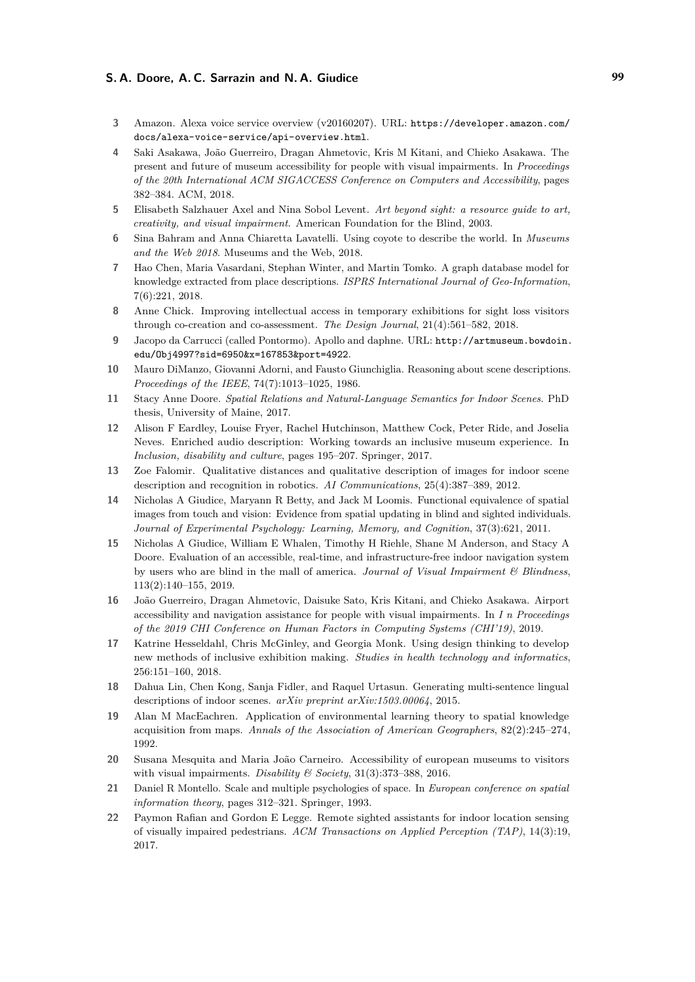- <span id="page-8-18"></span>**3** Amazon. Alexa voice service overview (v20160207). URL: [https://developer.amazon.com/](https://developer.amazon.com/docs/alexa-voice-service/api-overview.html) [docs/alexa-voice-service/api-overview.html](https://developer.amazon.com/docs/alexa-voice-service/api-overview.html).
- <span id="page-8-4"></span>**4** Saki Asakawa, João Guerreiro, Dragan Ahmetovic, Kris M Kitani, and Chieko Asakawa. The present and future of museum accessibility for people with visual impairments. In *Proceedings of the 20th International ACM SIGACCESS Conference on Computers and Accessibility*, pages 382–384. ACM, 2018.
- <span id="page-8-14"></span>**5** Elisabeth Salzhauer Axel and Nina Sobol Levent. *Art beyond sight: a resource guide to art, creativity, and visual impairment*. American Foundation for the Blind, 2003.
- <span id="page-8-16"></span>**6** Sina Bahram and Anna Chiaretta Lavatelli. Using coyote to describe the world. In *Museums and the Web 2018*. Museums and the Web, 2018.
- <span id="page-8-17"></span>**7** Hao Chen, Maria Vasardani, Stephan Winter, and Martin Tomko. A graph database model for knowledge extracted from place descriptions. *ISPRS International Journal of Geo-Information*, 7(6):221, 2018.
- <span id="page-8-5"></span>**8** Anne Chick. Improving intellectual access in temporary exhibitions for sight loss visitors through co-creation and co-assessment. *The Design Journal*, 21(4):561–582, 2018.
- <span id="page-8-19"></span>**9** Jacopo da Carrucci (called Pontormo). Apollo and daphne. URL: [http://artmuseum.bowdoin.](http://artmuseum.bowdoin.edu/Obj4997?sid=6950&x=167853&port=4922) [edu/Obj4997?sid=6950&x=167853&port=4922](http://artmuseum.bowdoin.edu/Obj4997?sid=6950&x=167853&port=4922).
- <span id="page-8-9"></span>**10** Mauro DiManzo, Giovanni Adorni, and Fausto Giunchiglia. Reasoning about scene descriptions. *Proceedings of the IEEE*, 74(7):1013–1025, 1986.
- <span id="page-8-11"></span>**11** Stacy Anne Doore. *Spatial Relations and Natural-Language Semantics for Indoor Scenes*. PhD thesis, University of Maine, 2017.
- <span id="page-8-15"></span>**12** Alison F Eardley, Louise Fryer, Rachel Hutchinson, Matthew Cock, Peter Ride, and Joselia Neves. Enriched audio description: Working towards an inclusive museum experience. In *Inclusion, disability and culture*, pages 195–207. Springer, 2017.
- <span id="page-8-10"></span>**13** Zoe Falomir. Qualitative distances and qualitative description of images for indoor scene description and recognition in robotics. *AI Communications*, 25(4):387–389, 2012.
- <span id="page-8-13"></span>**14** Nicholas A Giudice, Maryann R Betty, and Jack M Loomis. Functional equivalence of spatial images from touch and vision: Evidence from spatial updating in blind and sighted individuals. *Journal of Experimental Psychology: Learning, Memory, and Cognition*, 37(3):621, 2011.
- <span id="page-8-0"></span>**15** Nicholas A Giudice, William E Whalen, Timothy H Riehle, Shane M Anderson, and Stacy A Doore. Evaluation of an accessible, real-time, and infrastructure-free indoor navigation system by users who are blind in the mall of america. *Journal of Visual Impairment & Blindness*, 113(2):140–155, 2019.
- <span id="page-8-2"></span>**16** João Guerreiro, Dragan Ahmetovic, Daisuke Sato, Kris Kitani, and Chieko Asakawa. Airport accessibility and navigation assistance for people with visual impairments. In *I n Proceedings of the 2019 CHI Conference on Human Factors in Computing Systems (CHI'19)*, 2019.
- <span id="page-8-6"></span>**17** Katrine Hesseldahl, Chris McGinley, and Georgia Monk. Using design thinking to develop new methods of inclusive exhibition making. *Studies in health technology and informatics*, 256:151–160, 2018.
- <span id="page-8-12"></span>**18** Dahua Lin, Chen Kong, Sanja Fidler, and Raquel Urtasun. Generating multi-sentence lingual descriptions of indoor scenes. *arXiv preprint arXiv:1503.00064*, 2015.
- <span id="page-8-8"></span>**19** Alan M MacEachren. Application of environmental learning theory to spatial knowledge acquisition from maps. *Annals of the Association of American Geographers*, 82(2):245–274, 1992.
- <span id="page-8-3"></span>**20** Susana Mesquita and Maria João Carneiro. Accessibility of european museums to visitors with visual impairments. *Disability & Society*, 31(3):373–388, 2016.
- <span id="page-8-7"></span>**21** Daniel R Montello. Scale and multiple psychologies of space. In *European conference on spatial information theory*, pages 312–321. Springer, 1993.
- <span id="page-8-1"></span>**22** Paymon Rafian and Gordon E Legge. Remote sighted assistants for indoor location sensing of visually impaired pedestrians. *ACM Transactions on Applied Perception (TAP)*, 14(3):19, 2017.